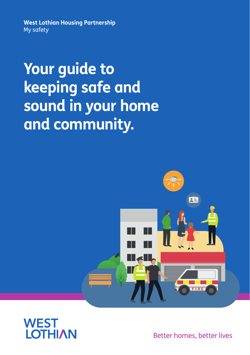**West Lothian Housing Partnership** My safety

**Your guide to keeping safe and sound in your home and community.**





Better homes, better lives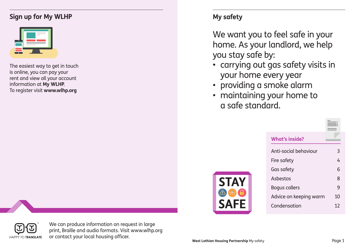# **Sign up for My WLHP My safety**

| $\overline{\phantom{a}}$<br><b>Contract Contract Contract</b><br>$\equiv$ | <b>Contract Contract</b><br>۰ |  |
|---------------------------------------------------------------------------|-------------------------------|--|
|                                                                           |                               |  |

The easiest way to get in touch is online, you can pay your rent and view all your account information at **My WLHP**. To register visit **www.wlhp.org**

We want you to feel safe in your home. As your landlord, we help you stay safe by:

- carrying out gas safety visits in your home every year
- providing a smoke alarm
- maintaining your home to a safe standard.



| <b>What's inside?</b>  |    |  |
|------------------------|----|--|
| Anti-social behaviour  | 3  |  |
| Fire safety            | 4  |  |
| Gas safety             | 6  |  |
| Asbestos               | 8  |  |
| <b>Bogus callers</b>   | 9  |  |
| Advice on keeping warm | 10 |  |
| Condensation           | 12 |  |



We can produce information on request in large print, Braille and audio formats. Visit www.wlhp.org or contact your local housing officer. **West Lothian Housing Partnership** My safety Page 1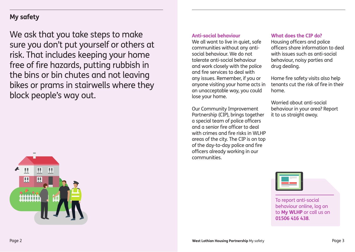# **My safety**

We ask that you take steps to make sure you don't put yourself or others at risk. That includes keeping your home free of fire hazards, putting rubbish in the bins or bin chutes and not leaving bikes or prams in stairwells where they block people's way out.



#### **Anti-social behaviour**

We all want to live in quiet, safe communities without any antisocial behaviour. We do not tolerate anti-social behaviour and work closely with the police and fire services to deal with any issues. Remember, if you or anyone visiting your home acts in an unacceptable way, you could lose your home.

Our Community Improvement Partnership (CIP), brings together a special team of police officers and a senior fire officer to deal with crimes and fire risks in WI HP areas of the city. The CIP is on top of the day-to-day police and fire officers already working in our communities.

### **What does the CIP do?**

Housing officers and police officers share information to deal with issues such as anti-social behaviour, noisy parties and drug dealing.

Home fire safety visits also help tenants cut the risk of fire in their home.

Worried about anti-social behaviour in your area? Report it to us straight away.

|  | <b>The Company</b> |  |  |
|--|--------------------|--|--|
|  |                    |  |  |

To report anti-social behaviour online, log on to **My WLHP** or call us on **01506 416 438**.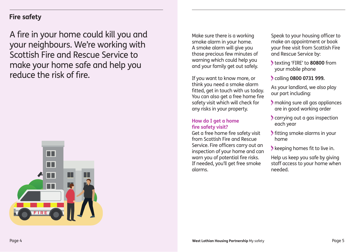# **Fire safety**

A fire in your home could kill you and your neighbours. We're working with Scottish Fire and Rescue Service to make your home safe and help you reduce the risk of fire.



Make sure there is a working smoke alarm in your home. A smoke alarm will give you those precious few minutes of warning which could help you and your family get out safely.

If you want to know more, or think you need a smoke alarm fitted, get in touch with us today. You can also get a free home fire safety visit which will check for any risks in your property.

#### **How do I get a home fire safety visit?**

Get a free home fire safety visit from Scottish Fire and Rescue Service. Fire officers carry out an inspection of your home and can warn you of potential fire risks. If needed, you'll get free smoke alarms.

Speak to your housing officer to make an appointment or book your free visit from Scottish Fire and Rescue Service by:

- texting 'FIRE' to **80800** from your mobile phone
- calling **0800 0731 999.**

As your landlord, we also play our part including:

- making sure all gas appliances are in good working order
- carrying out a gas inspection each year
- fitting smoke alarms in your home
- keeping homes fit to live in.

Help us keep you safe by giving staff access to your home when needed.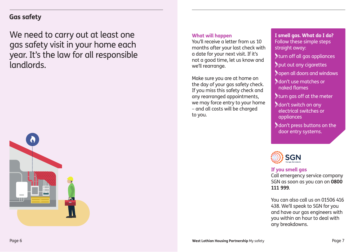## **Gas safety**

We need to carry out at least one gas safety visit in your home each year. It's the law for all responsible landlords.



#### **What will happen**

You'll receive a letter from us 10 months after your last check with a date for your next visit. If it's not a good time, let us know and we'll rearrange.

Make sure you are at home on the day of your gas safety check. If you miss this safety check and any rearranged appointments, we may force entry to your home – and all costs will be charged to you.

**I smell gas. What do I do?** Follow these simple steps straight away:

turn off all gas appliances

put out any cigarettes

**Sopen all doors and windows** 

 don't use matches or naked flames

turn gas off at the meter

 don't switch on any electrical switches or appliances

 don't press buttons on the door entry systems.



#### **If you smell gas**

Call emergency service company SGN as soon as you can on **0800 111 999**.

You can also call us on 01506 416 438. We'll speak to SGN for you and have our gas engineers with you within an hour to deal with any breakdowns.

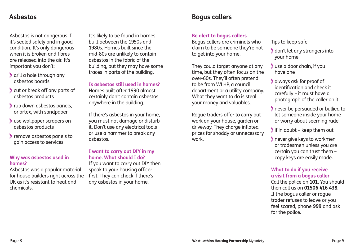Asbestos is not dangerous if it's sealed safely and in good condition. It's only dangerous when it is broken and fibres are released into the air. It's important you don't:

- drill a hole through any asbestos boards
- cut or break off any parts of asbestos products
- rub down asbestos panels, or artex, with sandpaper
- use wallpaper scrapers on asbestos products
- remove asbestos panels to gain access to services.

## **Why was asbestos used in homes?**

Asbestos was a popular material for house builders right across the UK as it's resistant to heat and chemicals.

It's likely to be found in homes built between the 1950s and 1980s. Homes built since the mid-80s are unlikely to contain asbestos in the fabric of the building, but they may have some traces in parts of the building.

**Is asbestos still used in homes?**  Homes built after 1990 almost certainly don't contain asbestos anywhere in the building.

If there's asbestos in your home, you must not damage or disturb it. Don't use any electrical tools or use a hammer to break any asbestos.

## **I want to carry out DIY in my home. What should I do?**

If you want to carry out DIY then speak to your housing officer first. They can check if there's any asbestos in your home.

# **Asbestos Bogus callers**

## **Be alert to bogus callers**

Bogus callers are criminals who claim to be someone they're not to get into your home.

They could target anyone at any time, but they often focus on the over-60s. They'll often pretend to be from WLHP, a council department or a utility company. What they want to do is steal your money and valuables.

Rogue traders offer to carry out work on your house, garden or driveway. They charge inflated prices for shoddy or unnecessary work.

Tips to keep safe:

- don't let any strangers into your home
- use a door chain, if you have one
- always ask for proof of identification and check it carefully – it must have a photograph of the caller on it
- never be persuaded or bullied to let someone inside your home or worry about seeming rude

 $\blacktriangleright$  if in doubt – keep them out

 never give keys to workmen or tradesmen unless you are certain you can trust them – copy keys are easily made.

### **What to do if you receive a visit from a bogus caller**

Call the police on **101**. You should then call us on **01506 416 438**. If the bogus caller or rogue trader refuses to leave or you feel scared, phone **999** and ask for the police.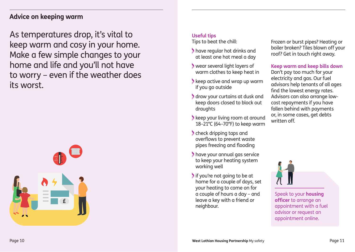## **Advice on keeping warm**

As temperatures drop, it's vital to keep warm and cosy in your home. Make a few simple changes to your home and life and you'll not have to worry – even if the weather does its worst.



## **Useful tips**

Tips to beat the chill:

- have regular hot drinks and at least one hot meal a day
- wear several light layers of warm clothes to keep heat in
- **keep active and wrap up warm** if you go outside
- draw your curtains at dusk and keep doors closed to block out draughts
- **keep your living room at around** 18–21°C (64–70°F) to keep warm
- check dripping taps and overflows to prevent waste pipes freezing and flooding
- have your annual gas service to keep your heating system working well
- If you're not going to be at home for a couple of days, set your heating to come on for a couple of hours a day – and leave a key with a friend or neighbour.

Frozen or burst pipes? Heating or boiler broken? Tiles blown off your roof? Get in touch right away.

**Keep warm and keep bills down** Don't pay too much for your electricity and gas. Our fuel advisors help tenants of all ages find the lowest energy rates. Advisors can also arrange lowcost repayments if you have fallen behind with payments or, in some cases, get debts written off.



Speak to your **housing officer** to arrange an appointment with a fuel advisor or request an appointment online.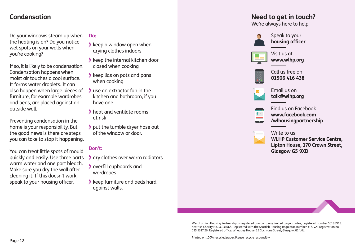## **Condensation**

Do your windows steam up when the heating is on? Do you notice wet spots on your walls when you're cooking?

If so, it is likely to be condensation. Condensation happens when moist air touches a cool surface. It forms water droplets. It can also happen when large pieces of furniture, for example wardrobes and beds, are placed against an outside wall.

Preventing condensation in the home is your responsibility. But the good news is there are steps you can take to stop it happening.

You can treat little spots of mould quickly and easily. Use three parts warm water and one part bleach. Make sure you dry the wall after cleaning it. If this doesn't work, speak to your housing officer.

#### **Do:**

- **keep a window open when** drying clothes indoors
- $\blacktriangleright$  keep the internal kitchen door closed when cooking
- keep lids on pots and pans when cooking
- use an extractor fan in the kitchen and bathroom, if you have one
- heat and ventilate rooms at risk
- put the tumble dryer hose out of the window or door.

## **Don't:**

- dry clothes over warm radiators
- overfill cupboards and wardrobes
- keep furniture and beds hard against walls.

# **Need to get in touch?**

We're always here to help.



Speak to your **housing officer**



Visit us at **www.wlhp.org**



Call us free on **01506 416 438**



Email us on **talk@wlhp.org**



Find us on Facebook **www.facebook.com /wlhousingpartnership**



Write to us

**WLHP Customer Service Centre, Lipton House, 170 Crown Street, Glasgow G5 9XD**

West Lothian Housing Partnership is registered as a company limited by guarantee, registered number SC188968. Scottish Charity No. SC031668. Registered with the Scottish Housing Regulator, number 318. VAT registration no. 135 5317 26. Registered office: Wheatley House, 25 Cochrane Street, Glasgow, G1 1HL.

Printed on 100% recycled paper. Please recycle responsibly.